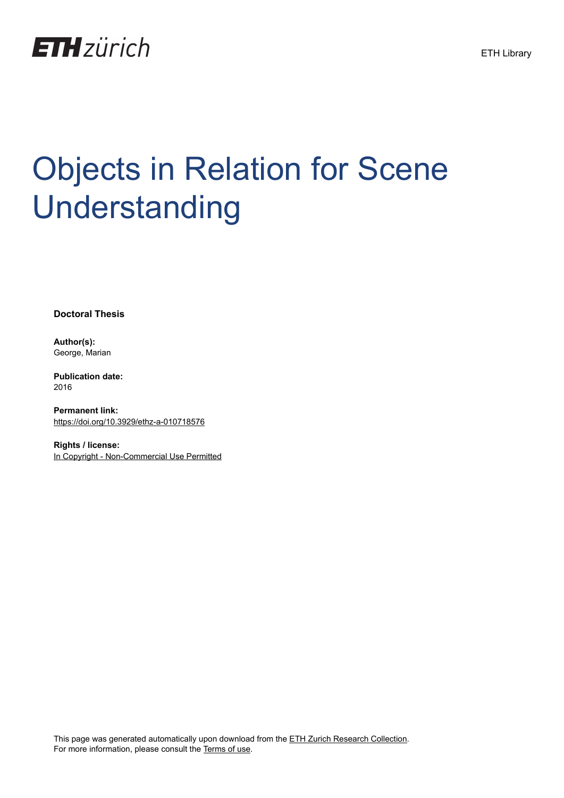

# Objects in Relation for Scene Understanding

**Doctoral Thesis**

**Author(s):** George, Marian

**Publication date:** 2016

**Permanent link:** <https://doi.org/10.3929/ethz-a-010718576>

**Rights / license:** [In Copyright - Non-Commercial Use Permitted](http://rightsstatements.org/page/InC-NC/1.0/)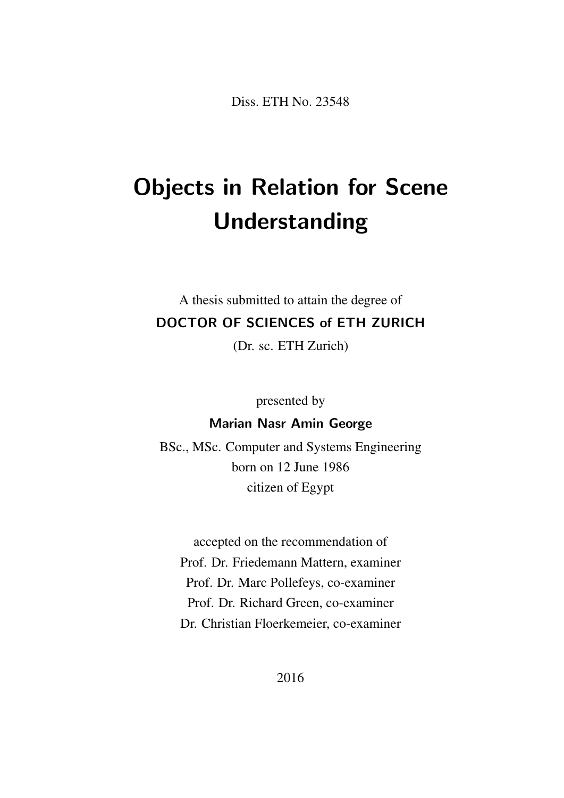Diss. ETH No. 23548

## Objects in Relation for Scene Understanding

## A thesis submitted to attain the degree of DOCTOR OF SCIENCES of ETH ZURICH

(Dr. sc. ETH Zurich)

presented by

#### Marian Nasr Amin George

BSc., MSc. Computer and Systems Engineering born on 12 June 1986 citizen of Egypt

accepted on the recommendation of Prof. Dr. Friedemann Mattern, examiner Prof. Dr. Marc Pollefeys, co-examiner Prof. Dr. Richard Green, co-examiner Dr. Christian Floerkemeier, co-examiner

2016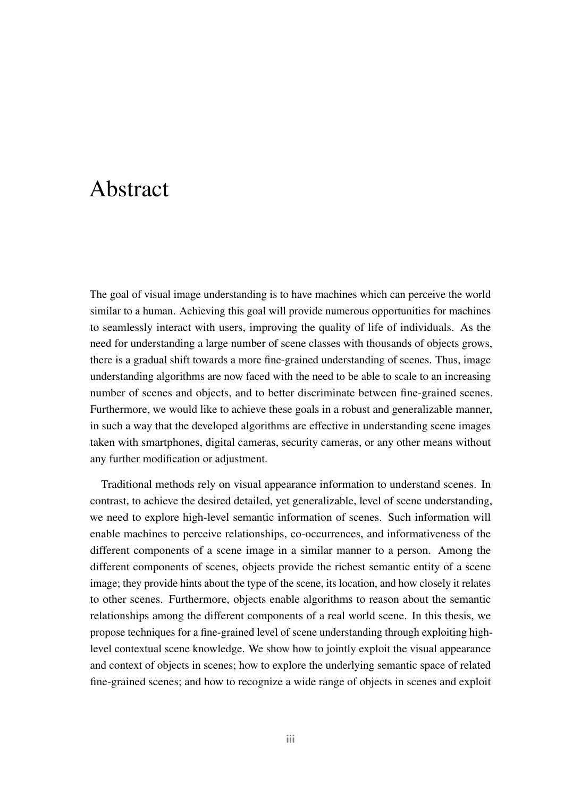### Abstract

The goal of visual image understanding is to have machines which can perceive the world similar to a human. Achieving this goal will provide numerous opportunities for machines to seamlessly interact with users, improving the quality of life of individuals. As the need for understanding a large number of scene classes with thousands of objects grows, there is a gradual shift towards a more fine-grained understanding of scenes. Thus, image understanding algorithms are now faced with the need to be able to scale to an increasing number of scenes and objects, and to better discriminate between fine-grained scenes. Furthermore, we would like to achieve these goals in a robust and generalizable manner, in such a way that the developed algorithms are effective in understanding scene images taken with smartphones, digital cameras, security cameras, or any other means without any further modification or adjustment.

Traditional methods rely on visual appearance information to understand scenes. In contrast, to achieve the desired detailed, yet generalizable, level of scene understanding, we need to explore high-level semantic information of scenes. Such information will enable machines to perceive relationships, co-occurrences, and informativeness of the different components of a scene image in a similar manner to a person. Among the different components of scenes, objects provide the richest semantic entity of a scene image; they provide hints about the type of the scene, its location, and how closely it relates to other scenes. Furthermore, objects enable algorithms to reason about the semantic relationships among the different components of a real world scene. In this thesis, we propose techniques for a fine-grained level of scene understanding through exploiting highlevel contextual scene knowledge. We show how to jointly exploit the visual appearance and context of objects in scenes; how to explore the underlying semantic space of related fine-grained scenes; and how to recognize a wide range of objects in scenes and exploit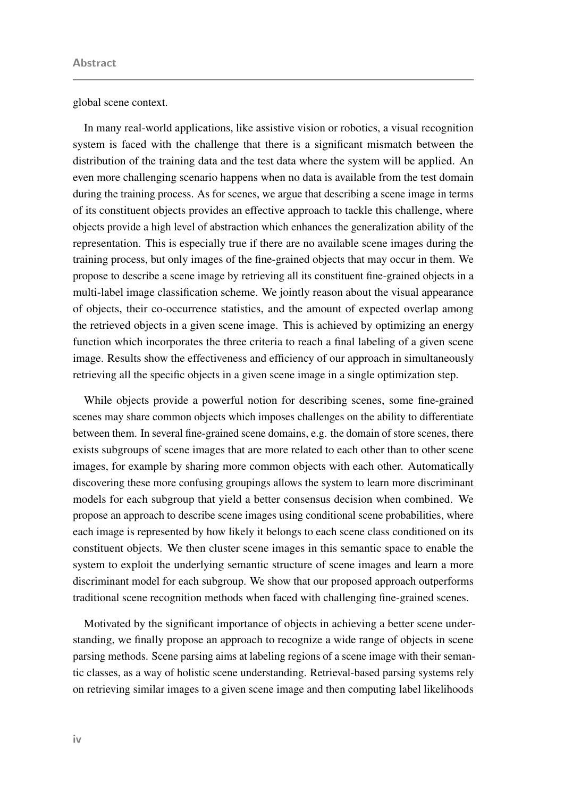global scene context.

In many real-world applications, like assistive vision or robotics, a visual recognition system is faced with the challenge that there is a significant mismatch between the distribution of the training data and the test data where the system will be applied. An even more challenging scenario happens when no data is available from the test domain during the training process. As for scenes, we argue that describing a scene image in terms of its constituent objects provides an effective approach to tackle this challenge, where objects provide a high level of abstraction which enhances the generalization ability of the representation. This is especially true if there are no available scene images during the training process, but only images of the fine-grained objects that may occur in them. We propose to describe a scene image by retrieving all its constituent fine-grained objects in a multi-label image classification scheme. We jointly reason about the visual appearance of objects, their co-occurrence statistics, and the amount of expected overlap among the retrieved objects in a given scene image. This is achieved by optimizing an energy function which incorporates the three criteria to reach a final labeling of a given scene image. Results show the effectiveness and efficiency of our approach in simultaneously retrieving all the specific objects in a given scene image in a single optimization step.

While objects provide a powerful notion for describing scenes, some fine-grained scenes may share common objects which imposes challenges on the ability to differentiate between them. In several fine-grained scene domains, e.g. the domain of store scenes, there exists subgroups of scene images that are more related to each other than to other scene images, for example by sharing more common objects with each other. Automatically discovering these more confusing groupings allows the system to learn more discriminant models for each subgroup that yield a better consensus decision when combined. We propose an approach to describe scene images using conditional scene probabilities, where each image is represented by how likely it belongs to each scene class conditioned on its constituent objects. We then cluster scene images in this semantic space to enable the system to exploit the underlying semantic structure of scene images and learn a more discriminant model for each subgroup. We show that our proposed approach outperforms traditional scene recognition methods when faced with challenging fine-grained scenes.

Motivated by the significant importance of objects in achieving a better scene understanding, we finally propose an approach to recognize a wide range of objects in scene parsing methods. Scene parsing aims at labeling regions of a scene image with their semantic classes, as a way of holistic scene understanding. Retrieval-based parsing systems rely on retrieving similar images to a given scene image and then computing label likelihoods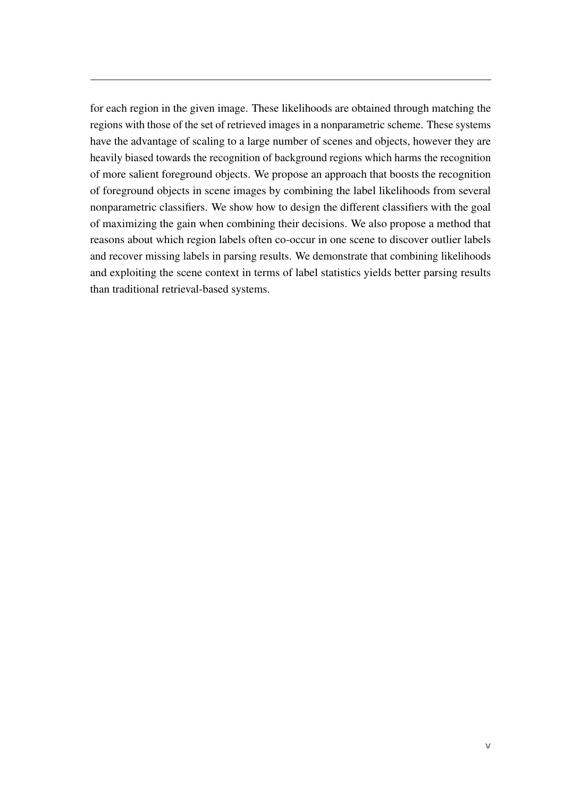for each region in the given image. These likelihoods are obtained through matching the regions with those of the set of retrieved images in a nonparametric scheme. These systems have the advantage of scaling to a large number of scenes and objects, however they are heavily biased towards the recognition of background regions which harms the recognition of more salient foreground objects. We propose an approach that boosts the recognition of foreground objects in scene images by combining the label likelihoods from several nonparametric classifiers. We show how to design the different classifiers with the goal of maximizing the gain when combining their decisions. We also propose a method that reasons about which region labels often co-occur in one scene to discover outlier labels and recover missing labels in parsing results. We demonstrate that combining likelihoods and exploiting the scene context in terms of label statistics yields better parsing results than traditional retrieval-based systems.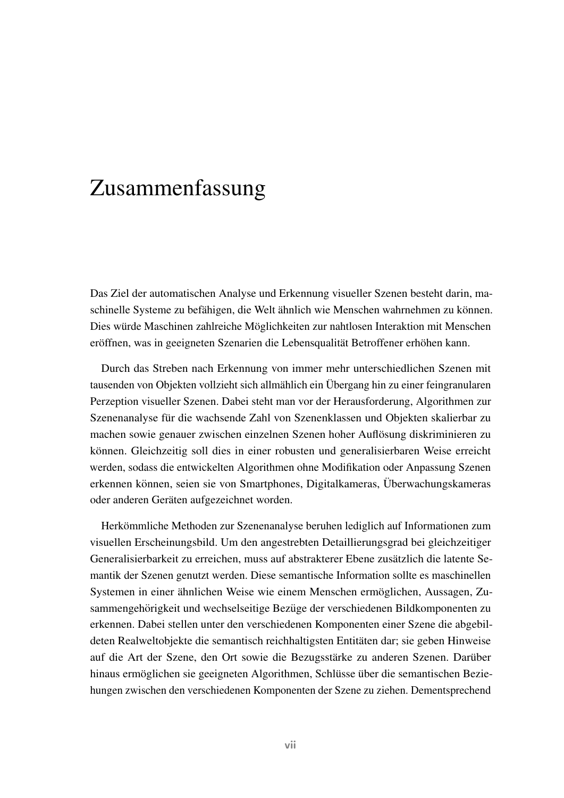## Zusammenfassung

Das Ziel der automatischen Analyse und Erkennung visueller Szenen besteht darin, maschinelle Systeme zu befähigen, die Welt ähnlich wie Menschen wahrnehmen zu können. Dies würde Maschinen zahlreiche Möglichkeiten zur nahtlosen Interaktion mit Menschen eröffnen, was in geeigneten Szenarien die Lebensqualität Betroffener erhöhen kann.

Durch das Streben nach Erkennung von immer mehr unterschiedlichen Szenen mit tausenden von Objekten vollzieht sich allmählich ein Übergang hin zu einer feingranularen Perzeption visueller Szenen. Dabei steht man vor der Herausforderung, Algorithmen zur Szenenanalyse für die wachsende Zahl von Szenenklassen und Objekten skalierbar zu machen sowie genauer zwischen einzelnen Szenen hoher Auflösung diskriminieren zu können. Gleichzeitig soll dies in einer robusten und generalisierbaren Weise erreicht werden, sodass die entwickelten Algorithmen ohne Modifikation oder Anpassung Szenen erkennen können, seien sie von Smartphones, Digitalkameras, Überwachungskameras oder anderen Geräten aufgezeichnet worden.

Herkömmliche Methoden zur Szenenanalyse beruhen lediglich auf Informationen zum visuellen Erscheinungsbild. Um den angestrebten Detaillierungsgrad bei gleichzeitiger Generalisierbarkeit zu erreichen, muss auf abstrakterer Ebene zusätzlich die latente Semantik der Szenen genutzt werden. Diese semantische Information sollte es maschinellen Systemen in einer ähnlichen Weise wie einem Menschen ermöglichen, Aussagen, Zusammengehörigkeit und wechselseitige Bezüge der verschiedenen Bildkomponenten zu erkennen. Dabei stellen unter den verschiedenen Komponenten einer Szene die abgebildeten Realweltobjekte die semantisch reichhaltigsten Entitaten dar; sie geben Hinweise ¨ auf die Art der Szene, den Ort sowie die Bezugsstärke zu anderen Szenen. Darüber hinaus ermöglichen sie geeigneten Algorithmen, Schlüsse über die semantischen Beziehungen zwischen den verschiedenen Komponenten der Szene zu ziehen. Dementsprechend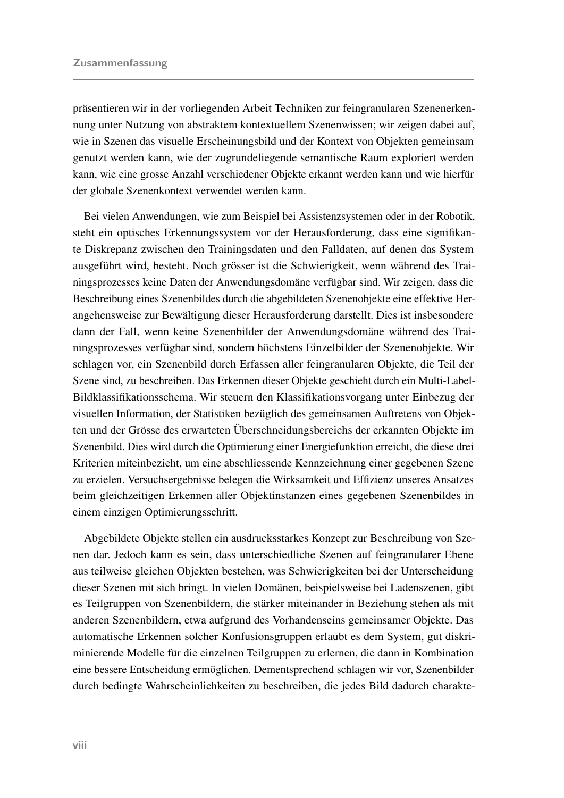präsentieren wir in der vorliegenden Arbeit Techniken zur feingranularen Szenenerkennung unter Nutzung von abstraktem kontextuellem Szenenwissen; wir zeigen dabei auf, wie in Szenen das visuelle Erscheinungsbild und der Kontext von Objekten gemeinsam genutzt werden kann, wie der zugrundeliegende semantische Raum exploriert werden kann, wie eine grosse Anzahl verschiedener Objekte erkannt werden kann und wie hierfür der globale Szenenkontext verwendet werden kann.

Bei vielen Anwendungen, wie zum Beispiel bei Assistenzsystemen oder in der Robotik, steht ein optisches Erkennungssystem vor der Herausforderung, dass eine signifikante Diskrepanz zwischen den Trainingsdaten und den Falldaten, auf denen das System ausgeführt wird, besteht. Noch grösser ist die Schwierigkeit, wenn während des Trainingsprozesses keine Daten der Anwendungsdomäne verfügbar sind. Wir zeigen, dass die Beschreibung eines Szenenbildes durch die abgebildeten Szenenobjekte eine effektive Herangehensweise zur Bewaltigung dieser Herausforderung darstellt. Dies ist insbesondere ¨ dann der Fall, wenn keine Szenenbilder der Anwendungsdomäne während des Trainingsprozesses verfügbar sind, sondern höchstens Einzelbilder der Szenenobjekte. Wir schlagen vor, ein Szenenbild durch Erfassen aller feingranularen Objekte, die Teil der Szene sind, zu beschreiben. Das Erkennen dieser Objekte geschieht durch ein Multi-Label-Bildklassifikationsschema. Wir steuern den Klassifikationsvorgang unter Einbezug der visuellen Information, der Statistiken bezüglich des gemeinsamen Auftretens von Objekten und der Grösse des erwarteten Überschneidungsbereichs der erkannten Objekte im Szenenbild. Dies wird durch die Optimierung einer Energiefunktion erreicht, die diese drei Kriterien miteinbezieht, um eine abschliessende Kennzeichnung einer gegebenen Szene zu erzielen. Versuchsergebnisse belegen die Wirksamkeit und Effizienz unseres Ansatzes beim gleichzeitigen Erkennen aller Objektinstanzen eines gegebenen Szenenbildes in einem einzigen Optimierungsschritt.

Abgebildete Objekte stellen ein ausdrucksstarkes Konzept zur Beschreibung von Szenen dar. Jedoch kann es sein, dass unterschiedliche Szenen auf feingranularer Ebene aus teilweise gleichen Objekten bestehen, was Schwierigkeiten bei der Unterscheidung dieser Szenen mit sich bringt. In vielen Domanen, beispielsweise bei Ladenszenen, gibt ¨ es Teilgruppen von Szenenbildern, die stärker miteinander in Beziehung stehen als mit anderen Szenenbildern, etwa aufgrund des Vorhandenseins gemeinsamer Objekte. Das automatische Erkennen solcher Konfusionsgruppen erlaubt es dem System, gut diskriminierende Modelle fur die einzelnen Teilgruppen zu erlernen, die dann in Kombination ¨ eine bessere Entscheidung ermöglichen. Dementsprechend schlagen wir vor, Szenenbilder durch bedingte Wahrscheinlichkeiten zu beschreiben, die jedes Bild dadurch charakte